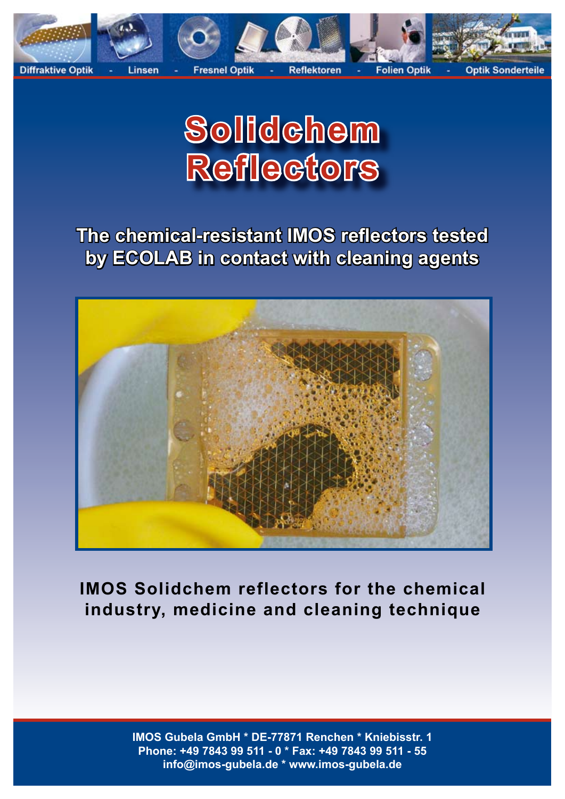

# **Solidchem Reflectors**

**The chemical-resistant IMOS reflectors tested by ECOLAB in contact with cleaning agents**



**IMOS Solidchem reflectors for the chemical industry, medicine and cleaning technique**

> **IMOS Gubela GmbH \* DE-77871 Renchen \* Kniebisstr. 1 Phone: +49 7843 99 511 - 0 \* Fax: +49 7843 99 511 - 55 info@imos-gubela.de \* www.imos-gubela.de**